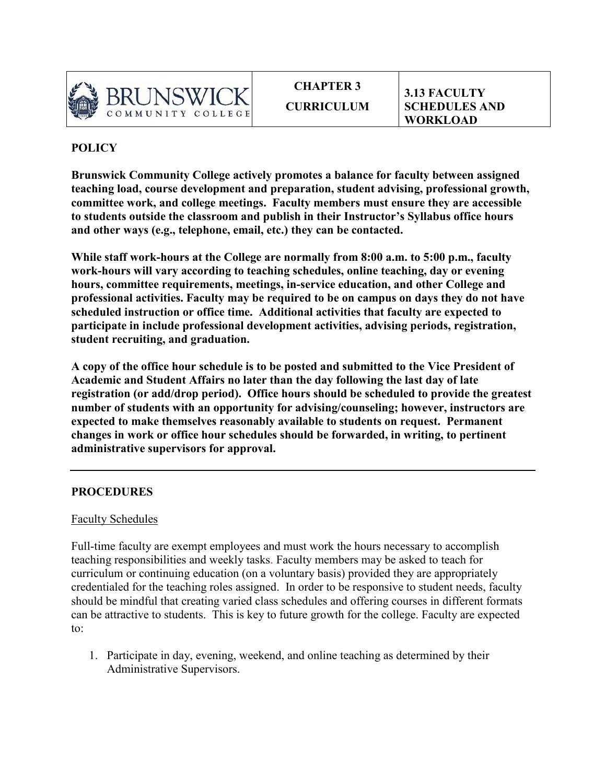

**CHAPTER 3 CURRICULUM**

**3.13 FACULTY SCHEDULES AND WORKLOAD**

## **POLICY**

**Brunswick Community College actively promotes a balance for faculty between assigned teaching load, course development and preparation, student advising, professional growth, committee work, and college meetings. Faculty members must ensure they are accessible to students outside the classroom and publish in their Instructor's Syllabus office hours and other ways (e.g., telephone, email, etc.) they can be contacted.** 

**While staff work-hours at the College are normally from 8:00 a.m. to 5:00 p.m., faculty work-hours will vary according to teaching schedules, online teaching, day or evening hours, committee requirements, meetings, in-service education, and other College and professional activities. Faculty may be required to be on campus on days they do not have scheduled instruction or office time. Additional activities that faculty are expected to participate in include professional development activities, advising periods, registration, student recruiting, and graduation.** 

**A copy of the office hour schedule is to be posted and submitted to the Vice President of Academic and Student Affairs no later than the day following the last day of late registration (or add/drop period). Office hours should be scheduled to provide the greatest number of students with an opportunity for advising/counseling; however, instructors are expected to make themselves reasonably available to students on request. Permanent changes in work or office hour schedules should be forwarded, in writing, to pertinent administrative supervisors for approval.** 

## **PROCEDURES**

## Faculty Schedules

Full-time faculty are exempt employees and must work the hours necessary to accomplish teaching responsibilities and weekly tasks. Faculty members may be asked to teach for curriculum or continuing education (on a voluntary basis) provided they are appropriately credentialed for the teaching roles assigned. In order to be responsive to student needs, faculty should be mindful that creating varied class schedules and offering courses in different formats can be attractive to students. This is key to future growth for the college. Faculty are expected to:

1. Participate in day, evening, weekend, and online teaching as determined by their Administrative Supervisors.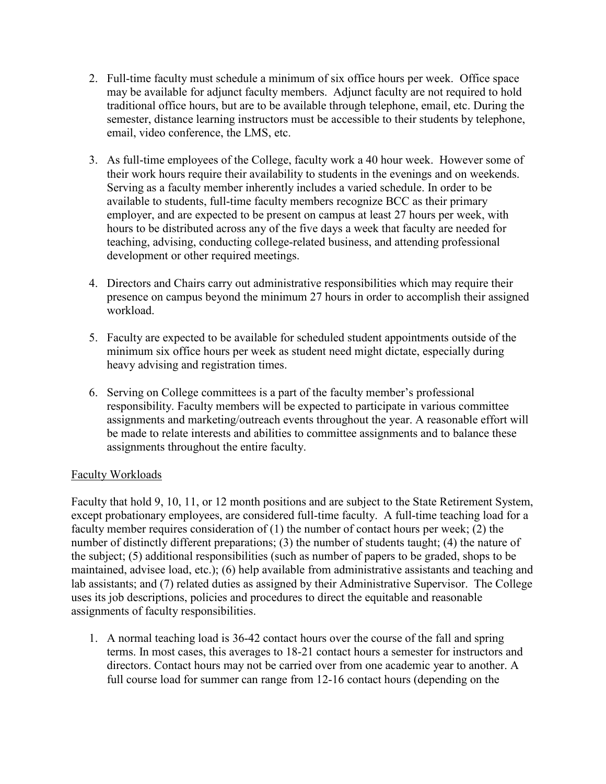- 2. Full-time faculty must schedule a minimum of six office hours per week. Office space may be available for adjunct faculty members. Adjunct faculty are not required to hold traditional office hours, but are to be available through telephone, email, etc. During the semester, distance learning instructors must be accessible to their students by telephone, email, video conference, the LMS, etc.
- 3. As full-time employees of the College, faculty work a 40 hour week. However some of their work hours require their availability to students in the evenings and on weekends. Serving as a faculty member inherently includes a varied schedule. In order to be available to students, full-time faculty members recognize BCC as their primary employer, and are expected to be present on campus at least 27 hours per week, with hours to be distributed across any of the five days a week that faculty are needed for teaching, advising, conducting college-related business, and attending professional development or other required meetings.
- 4. Directors and Chairs carry out administrative responsibilities which may require their presence on campus beyond the minimum 27 hours in order to accomplish their assigned workload.
- 5. Faculty are expected to be available for scheduled student appointments outside of the minimum six office hours per week as student need might dictate, especially during heavy advising and registration times.
- 6. Serving on College committees is a part of the faculty member's professional responsibility. Faculty members will be expected to participate in various committee assignments and marketing/outreach events throughout the year. A reasonable effort will be made to relate interests and abilities to committee assignments and to balance these assignments throughout the entire faculty.

## Faculty Workloads

Faculty that hold 9, 10, 11, or 12 month positions and are subject to the State Retirement System, except probationary employees, are considered full-time faculty. A full-time teaching load for a faculty member requires consideration of (1) the number of contact hours per week; (2) the number of distinctly different preparations; (3) the number of students taught; (4) the nature of the subject; (5) additional responsibilities (such as number of papers to be graded, shops to be maintained, advisee load, etc.); (6) help available from administrative assistants and teaching and lab assistants; and (7) related duties as assigned by their Administrative Supervisor. The College uses its job descriptions, policies and procedures to direct the equitable and reasonable assignments of faculty responsibilities.

1. A normal teaching load is 36-42 contact hours over the course of the fall and spring terms. In most cases, this averages to 18-21 contact hours a semester for instructors and directors. Contact hours may not be carried over from one academic year to another. A full course load for summer can range from 12-16 contact hours (depending on the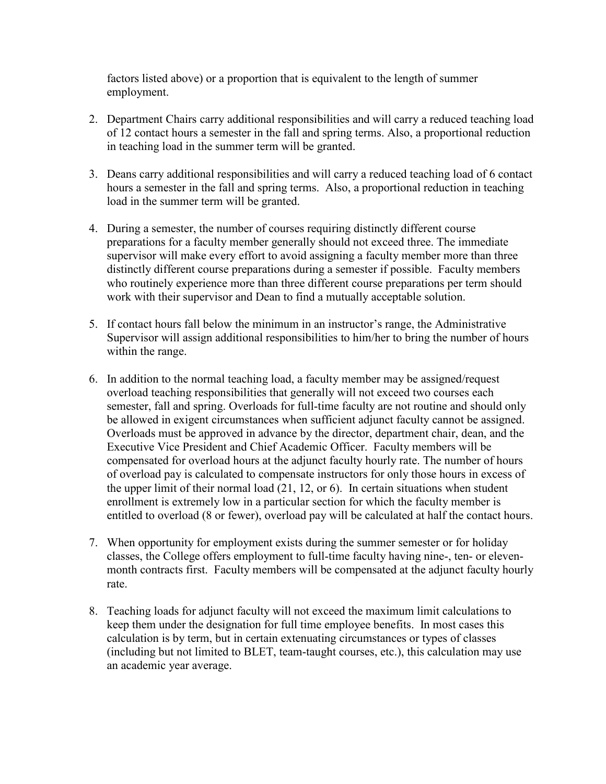factors listed above) or a proportion that is equivalent to the length of summer employment.

- 2. Department Chairs carry additional responsibilities and will carry a reduced teaching load of 12 contact hours a semester in the fall and spring terms. Also, a proportional reduction in teaching load in the summer term will be granted.
- 3. Deans carry additional responsibilities and will carry a reduced teaching load of 6 contact hours a semester in the fall and spring terms. Also, a proportional reduction in teaching load in the summer term will be granted.
- 4. During a semester, the number of courses requiring distinctly different course preparations for a faculty member generally should not exceed three. The immediate supervisor will make every effort to avoid assigning a faculty member more than three distinctly different course preparations during a semester if possible. Faculty members who routinely experience more than three different course preparations per term should work with their supervisor and Dean to find a mutually acceptable solution.
- 5. If contact hours fall below the minimum in an instructor's range, the Administrative Supervisor will assign additional responsibilities to him/her to bring the number of hours within the range.
- 6. In addition to the normal teaching load, a faculty member may be assigned/request overload teaching responsibilities that generally will not exceed two courses each semester, fall and spring. Overloads for full-time faculty are not routine and should only be allowed in exigent circumstances when sufficient adjunct faculty cannot be assigned. Overloads must be approved in advance by the director, department chair, dean, and the Executive Vice President and Chief Academic Officer. Faculty members will be compensated for overload hours at the adjunct faculty hourly rate. The number of hours of overload pay is calculated to compensate instructors for only those hours in excess of the upper limit of their normal load (21, 12, or 6). In certain situations when student enrollment is extremely low in a particular section for which the faculty member is entitled to overload (8 or fewer), overload pay will be calculated at half the contact hours.
- 7. When opportunity for employment exists during the summer semester or for holiday classes, the College offers employment to full-time faculty having nine-, ten- or elevenmonth contracts first. Faculty members will be compensated at the adjunct faculty hourly rate.
- 8. Teaching loads for adjunct faculty will not exceed the maximum limit calculations to keep them under the designation for full time employee benefits. In most cases this calculation is by term, but in certain extenuating circumstances or types of classes (including but not limited to BLET, team-taught courses, etc.), this calculation may use an academic year average.